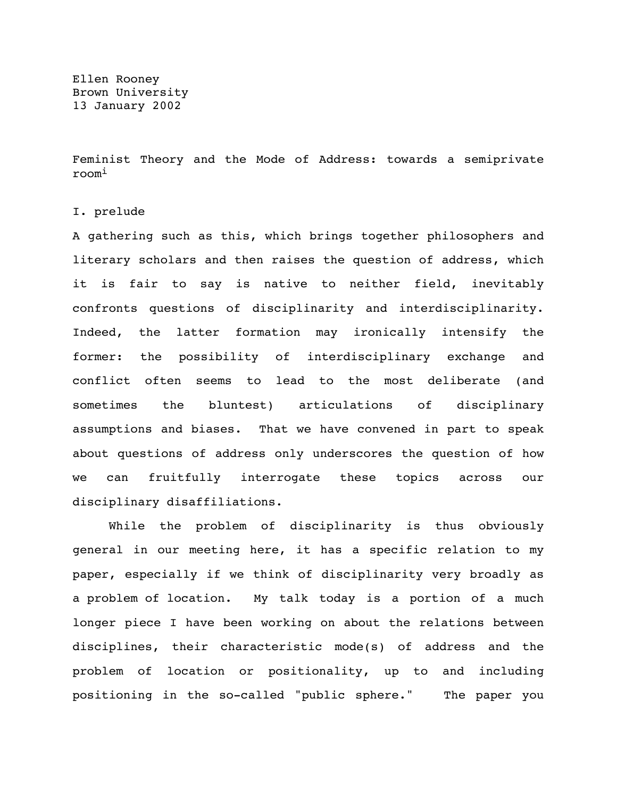Ellen Rooney Brown University 13 January 2002

Feminist Theory and the Mode of Address: towards a semiprivate roomi

I. prelude

A gathering such as this, which brings together philosophers and literary scholars and then raises the question of address, which it is fair to say is native to neither field, inevitably confronts questions of disciplinarity and interdisciplinarity. Indeed, the latter formation may ironically intensify the former: the possibility of interdisciplinary exchange and conflict often seems to lead to the most deliberate (and sometimes the bluntest) articulations of disciplinary assumptions and biases. That we have convened in part to speak about questions of address only underscores the question of how we can fruitfully interrogate these topics across our disciplinary disaffiliations.

While the problem of disciplinarity is thus obviously general in our meeting here, it has a specific relation to my paper, especially if we think of disciplinarity very broadly as a problem of location. My talk today is a portion of a much longer piece I have been working on about the relations between disciplines, their characteristic mode(s) of address and the problem of location or positionality, up to and including positioning in the so-called "public sphere." The paper you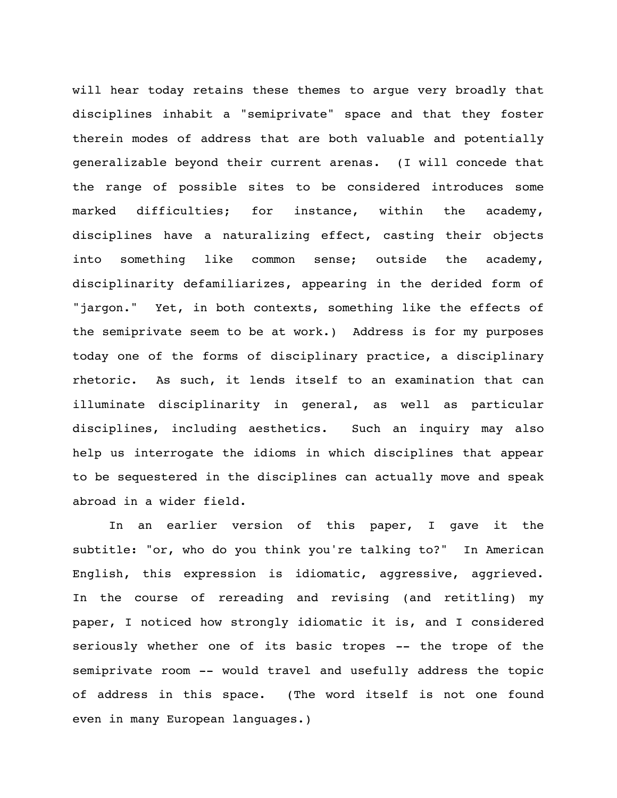will hear today retains these themes to argue very broadly that disciplines inhabit a "semiprivate" space and that they foster therein modes of address that are both valuable and potentially generalizable beyond their current arenas. (I will concede that the range of possible sites to be considered introduces some marked difficulties; for instance, within the academy, disciplines have a naturalizing effect, casting their objects into something like common sense; outside the academy, disciplinarity defamiliarizes, appearing in the derided form of "jargon." Yet, in both contexts, something like the effects of the semiprivate seem to be at work.) Address is for my purposes today one of the forms of disciplinary practice, a disciplinary rhetoric. As such, it lends itself to an examination that can illuminate disciplinarity in general, as well as particular disciplines, including aesthetics. Such an inquiry may also help us interrogate the idioms in which disciplines that appear to be sequestered in the disciplines can actually move and speak abroad in a wider field.

In an earlier version of this paper, I gave it the subtitle: "or, who do you think you're talking to?" In American English, this expression is idiomatic, aggressive, aggrieved. In the course of rereading and revising (and retitling) my paper, I noticed how strongly idiomatic it is, and I considered seriously whether one of its basic tropes -- the trope of the semiprivate room -- would travel and usefully address the topic of address in this space. (The word itself is not one found even in many European languages.)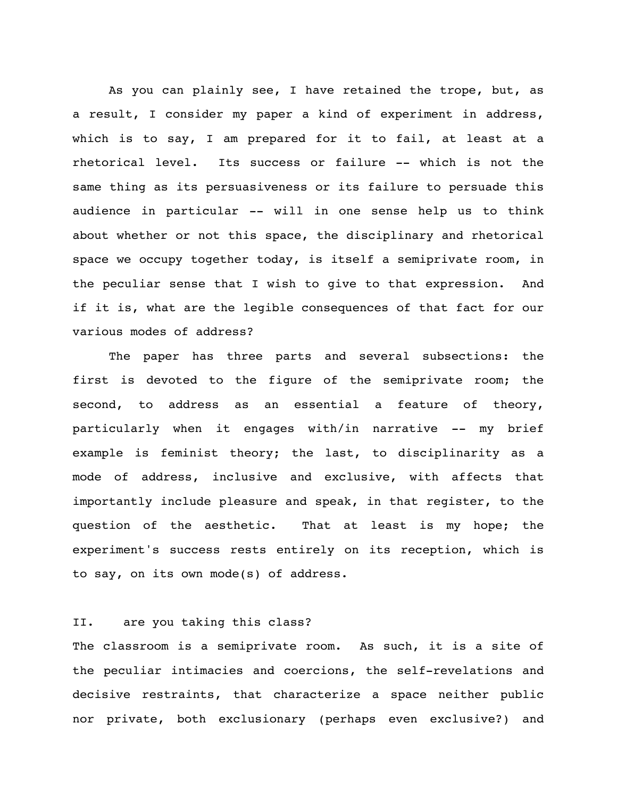As you can plainly see, I have retained the trope, but, as a result, I consider my paper a kind of experiment in address, which is to say, I am prepared for it to fail, at least at a rhetorical level. Its success or failure -- which is not the same thing as its persuasiveness or its failure to persuade this audience in particular -- will in one sense help us to think about whether or not this space, the disciplinary and rhetorical space we occupy together today, is itself a semiprivate room, in the peculiar sense that I wish to give to that expression. And if it is, what are the legible consequences of that fact for our various modes of address?

The paper has three parts and several subsections: the first is devoted to the figure of the semiprivate room; the second, to address as an essential a feature of theory, particularly when it engages with/in narrative -- my brief example is feminist theory; the last, to disciplinarity as a mode of address, inclusive and exclusive, with affects that importantly include pleasure and speak, in that register, to the question of the aesthetic. That at least is my hope; the experiment's success rests entirely on its reception, which is to say, on its own mode(s) of address.

## II. are you taking this class?

The classroom is a semiprivate room. As such, it is a site of the peculiar intimacies and coercions, the self-revelations and decisive restraints, that characterize a space neither public nor private, both exclusionary (perhaps even exclusive?) and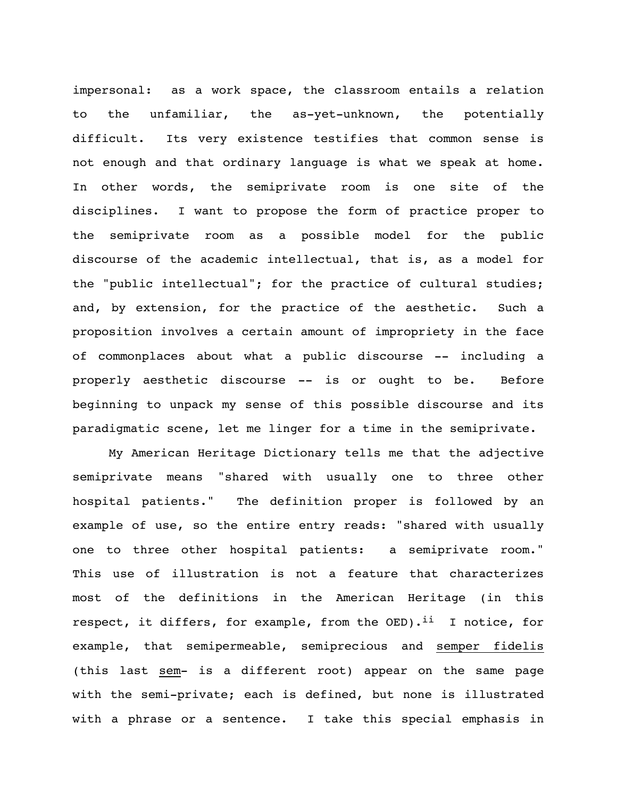impersonal: as a work space, the classroom entails a relation to the unfamiliar, the as-yet-unknown, the potentially difficult. Its very existence testifies that common sense is not enough and that ordinary language is what we speak at home. In other words, the semiprivate room is one site of the disciplines. I want to propose the form of practice proper to the semiprivate room as a possible model for the public discourse of the academic intellectual, that is, as a model for the "public intellectual"; for the practice of cultural studies; and, by extension, for the practice of the aesthetic. Such a proposition involves a certain amount of impropriety in the face of commonplaces about what a public discourse -- including a properly aesthetic discourse -- is or ought to be. Before beginning to unpack my sense of this possible discourse and its paradigmatic scene, let me linger for a time in the semiprivate.

My American Heritage Dictionary tells me that the adjective semiprivate means "shared with usually one to three other hospital patients." The definition proper is followed by an example of use, so the entire entry reads: "shared with usually one to three other hospital patients: a semiprivate room." This use of illustration is not a feature that characterizes most of the definitions in the American Heritage (in this respect, it differs, for example, from the  $OED$ ).<sup>ii</sup> I notice, for example, that semipermeable, semiprecious and semper fidelis (this last sem- is a different root) appear on the same page with the semi-private; each is defined, but none is illustrated with a phrase or a sentence. I take this special emphasis in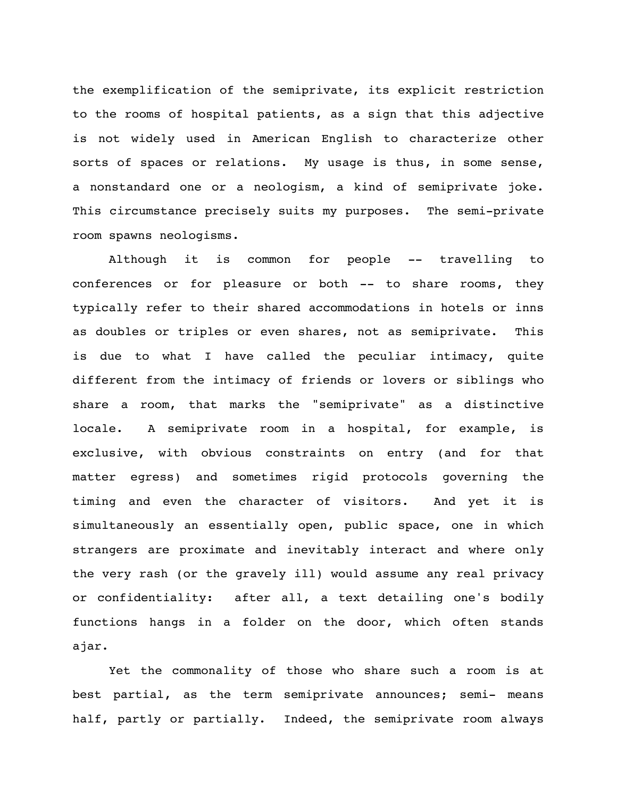the exemplification of the semiprivate, its explicit restriction to the rooms of hospital patients, as a sign that this adjective is not widely used in American English to characterize other sorts of spaces or relations. My usage is thus, in some sense, a nonstandard one or a neologism, a kind of semiprivate joke. This circumstance precisely suits my purposes. The semi-private room spawns neologisms.

Although it is common for people -- travelling to conferences or for pleasure or both -- to share rooms, they typically refer to their shared accommodations in hotels or inns as doubles or triples or even shares, not as semiprivate. This is due to what I have called the peculiar intimacy, quite different from the intimacy of friends or lovers or siblings who share a room, that marks the "semiprivate" as a distinctive locale. A semiprivate room in a hospital, for example, is exclusive, with obvious constraints on entry (and for that matter egress) and sometimes rigid protocols governing the timing and even the character of visitors. And yet it is simultaneously an essentially open, public space, one in which strangers are proximate and inevitably interact and where only the very rash (or the gravely ill) would assume any real privacy or confidentiality: after all, a text detailing one's bodily functions hangs in a folder on the door, which often stands ajar.

Yet the commonality of those who share such a room is at best partial, as the term semiprivate announces; semi- means half, partly or partially. Indeed, the semiprivate room always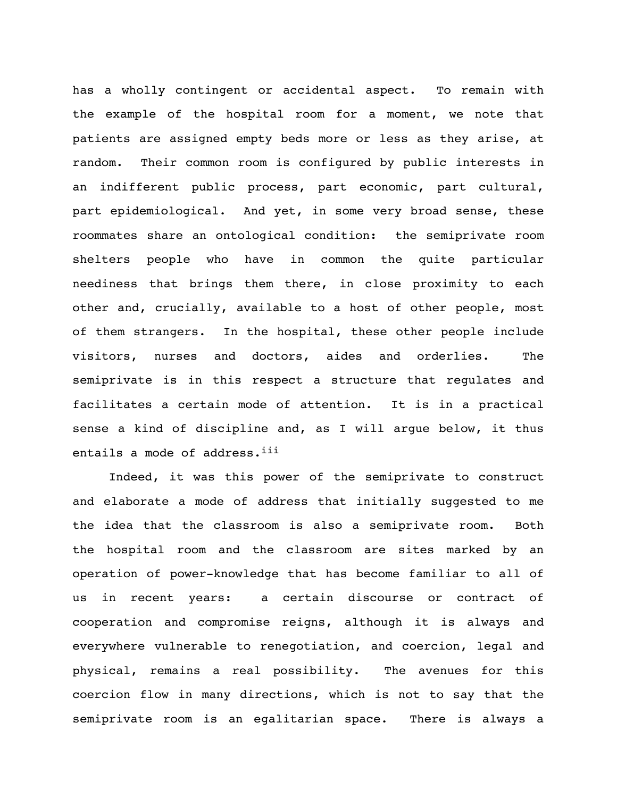has a wholly contingent or accidental aspect. To remain with the example of the hospital room for a moment, we note that patients are assigned empty beds more or less as they arise, at random. Their common room is configured by public interests in an indifferent public process, part economic, part cultural, part epidemiological. And yet, in some very broad sense, these roommates share an ontological condition: the semiprivate room shelters people who have in common the quite particular neediness that brings them there, in close proximity to each other and, crucially, available to a host of other people, most of them strangers. In the hospital, these other people include visitors, nurses and doctors, aides and orderlies. The semiprivate is in this respect a structure that regulates and facilitates a certain mode of attention. It is in a practical sense a kind of discipline and, as I will argue below, it thus entails a mode of address. iii

Indeed, it was this power of the semiprivate to construct and elaborate a mode of address that initially suggested to me the idea that the classroom is also a semiprivate room. Both the hospital room and the classroom are sites marked by an operation of power-knowledge that has become familiar to all of us in recent years: a certain discourse or contract of cooperation and compromise reigns, although it is always and everywhere vulnerable to renegotiation, and coercion, legal and physical, remains a real possibility. The avenues for this coercion flow in many directions, which is not to say that the semiprivate room is an egalitarian space. There is always a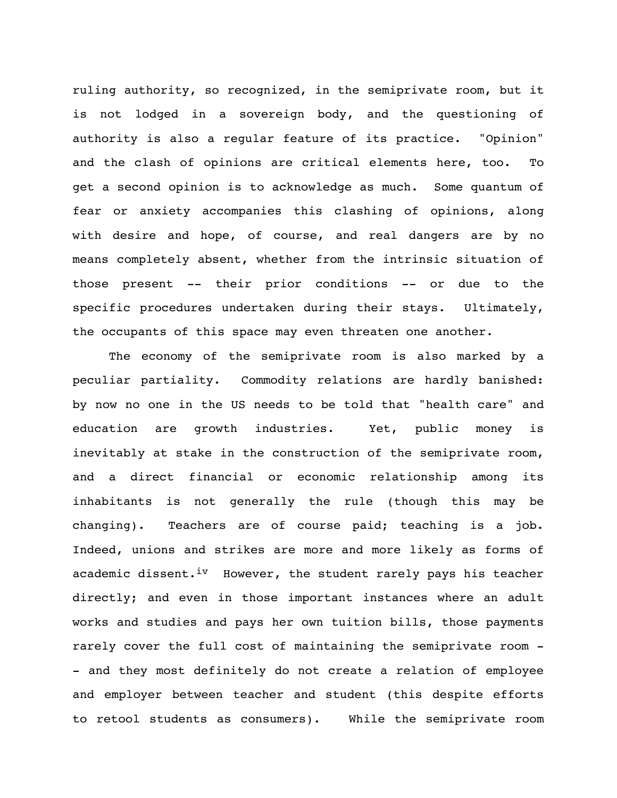ruling authority, so recognized, in the semiprivate room, but it is not lodged in a sovereign body, and the questioning of authority is also a regular feature of its practice. "Opinion" and the clash of opinions are critical elements here, too. To get a second opinion is to acknowledge as much. Some quantum of fear or anxiety accompanies this clashing of opinions, along with desire and hope, of course, and real dangers are by no means completely absent, whether from the intrinsic situation of those present -- their prior conditions -- or due to the specific procedures undertaken during their stays. Ultimately, the occupants of this space may even threaten one another.

The economy of the semiprivate room is also marked by a peculiar partiality. Commodity relations are hardly banished: by now no one in the US needs to be told that "health care" and education are growth industries. Yet, public money is inevitably at stake in the construction of the semiprivate room, and a direct financial or economic relationship among its inhabitants is not generally the rule (though this may be changing). Teachers are of course paid; teaching is a job. Indeed, unions and strikes are more and more likely as forms of academic dissent.<sup>iv</sup> However, the student rarely pays his teacher directly; and even in those important instances where an adult works and studies and pays her own tuition bills, those payments rarely cover the full cost of maintaining the semiprivate room - - and they most definitely do not create a relation of employee and employer between teacher and student (this despite efforts to retool students as consumers). While the semiprivate room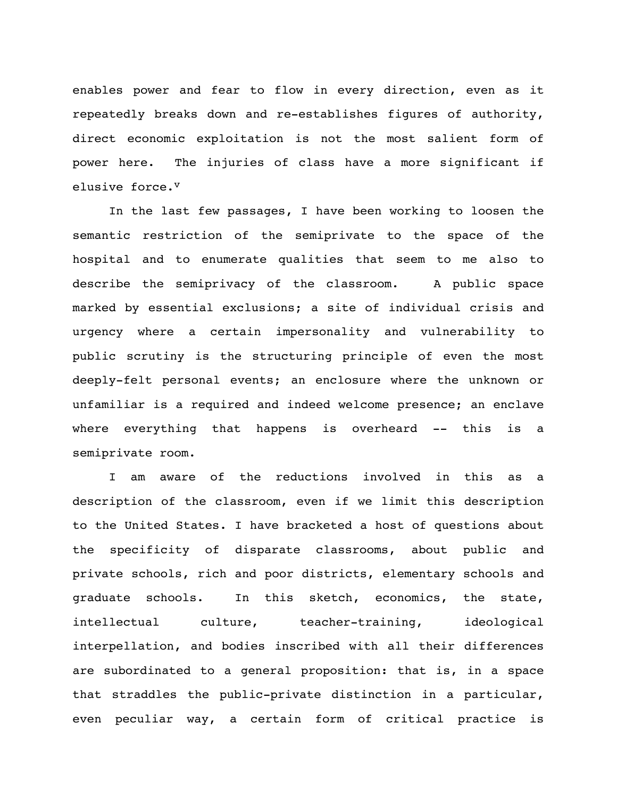enables power and fear to flow in every direction, even as it repeatedly breaks down and re-establishes figures of authority, direct economic exploitation is not the most salient form of power here. The injuries of class have a more significant if elusive force.<sup>v</sup>

In the last few passages, I have been working to loosen the semantic restriction of the semiprivate to the space of the hospital and to enumerate qualities that seem to me also to describe the semiprivacy of the classroom. A public space marked by essential exclusions; a site of individual crisis and urgency where a certain impersonality and vulnerability to public scrutiny is the structuring principle of even the most deeply-felt personal events; an enclosure where the unknown or unfamiliar is a required and indeed welcome presence; an enclave where everything that happens is overheard -- this is a semiprivate room.

I am aware of the reductions involved in this as a description of the classroom, even if we limit this description to the United States. I have bracketed a host of questions about the specificity of disparate classrooms, about public and private schools, rich and poor districts, elementary schools and graduate schools. In this sketch, economics, the state, intellectual culture, teacher-training, ideological interpellation, and bodies inscribed with all their differences are subordinated to a general proposition: that is, in a space that straddles the public-private distinction in a particular, even peculiar way, a certain form of critical practice is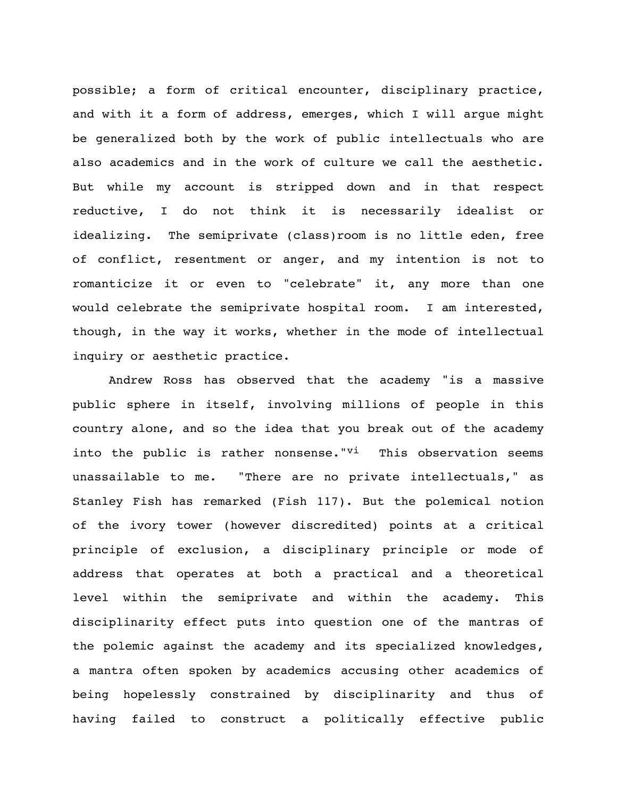possible; a form of critical encounter, disciplinary practice, and with it a form of address, emerges, which I will argue might be generalized both by the work of public intellectuals who are also academics and in the work of culture we call the aesthetic. But while my account is stripped down and in that respect reductive, I do not think it is necessarily idealist or idealizing. The semiprivate (class)room is no little eden, free of conflict, resentment or anger, and my intention is not to romanticize it or even to "celebrate" it, any more than one would celebrate the semiprivate hospital room. I am interested, though, in the way it works, whether in the mode of intellectual inquiry or aesthetic practice.

Andrew Ross has observed that the academy "is a massive public sphere in itself, involving millions of people in this country alone, and so the idea that you break out of the academy into the public is rather nonsense."Vi This observation seems unassailable to me. "There are no private intellectuals," as Stanley Fish has remarked (Fish 117). But the polemical notion of the ivory tower (however discredited) points at a critical principle of exclusion, a disciplinary principle or mode of address that operates at both a practical and a theoretical level within the semiprivate and within the academy. This disciplinarity effect puts into question one of the mantras of the polemic against the academy and its specialized knowledges, a mantra often spoken by academics accusing other academics of being hopelessly constrained by disciplinarity and thus of having failed to construct a politically effective public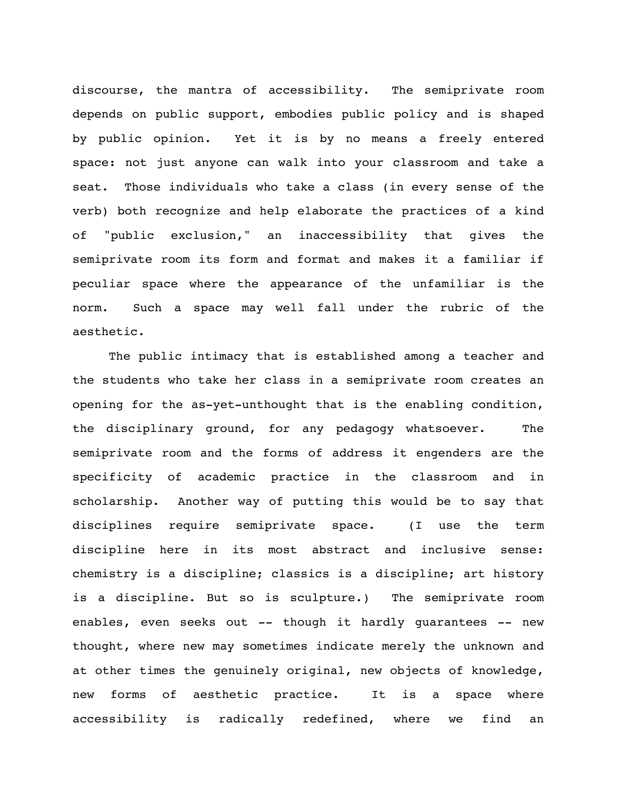discourse, the mantra of accessibility. The semiprivate room depends on public support, embodies public policy and is shaped by public opinion. Yet it is by no means a freely entered space: not just anyone can walk into your classroom and take a seat. Those individuals who take a class (in every sense of the verb) both recognize and help elaborate the practices of a kind of "public exclusion," an inaccessibility that gives the semiprivate room its form and format and makes it a familiar if peculiar space where the appearance of the unfamiliar is the norm. Such a space may well fall under the rubric of the aesthetic.

The public intimacy that is established among a teacher and the students who take her class in a semiprivate room creates an opening for the as-yet-unthought that is the enabling condition, the disciplinary ground, for any pedagogy whatsoever. The semiprivate room and the forms of address it engenders are the specificity of academic practice in the classroom and in scholarship. Another way of putting this would be to say that disciplines require semiprivate space. (I use the term discipline here in its most abstract and inclusive sense: chemistry is a discipline; classics is a discipline; art history is a discipline. But so is sculpture.) The semiprivate room enables, even seeks out -- though it hardly guarantees -- new thought, where new may sometimes indicate merely the unknown and at other times the genuinely original, new objects of knowledge, new forms of aesthetic practice. It is a space where accessibility is radically redefined, where we find an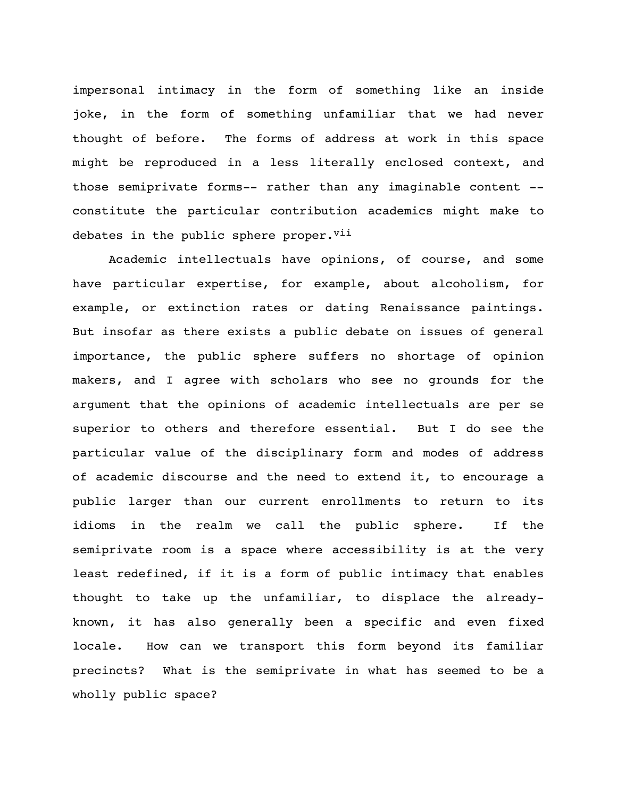impersonal intimacy in the form of something like an inside joke, in the form of something unfamiliar that we had never thought of before. The forms of address at work in this space might be reproduced in a less literally enclosed context, and those semiprivate forms-- rather than any imaginable content - constitute the particular contribution academics might make to debates in the public sphere proper.<sup>vii</sup>

Academic intellectuals have opinions, of course, and some have particular expertise, for example, about alcoholism, for example, or extinction rates or dating Renaissance paintings. But insofar as there exists a public debate on issues of general importance, the public sphere suffers no shortage of opinion makers, and I agree with scholars who see no grounds for the argument that the opinions of academic intellectuals are per se superior to others and therefore essential. But I do see the particular value of the disciplinary form and modes of address of academic discourse and the need to extend it, to encourage a public larger than our current enrollments to return to its idioms in the realm we call the public sphere. If the semiprivate room is a space where accessibility is at the very least redefined, if it is a form of public intimacy that enables thought to take up the unfamiliar, to displace the alreadyknown, it has also generally been a specific and even fixed locale. How can we transport this form beyond its familiar precincts? What is the semiprivate in what has seemed to be a wholly public space?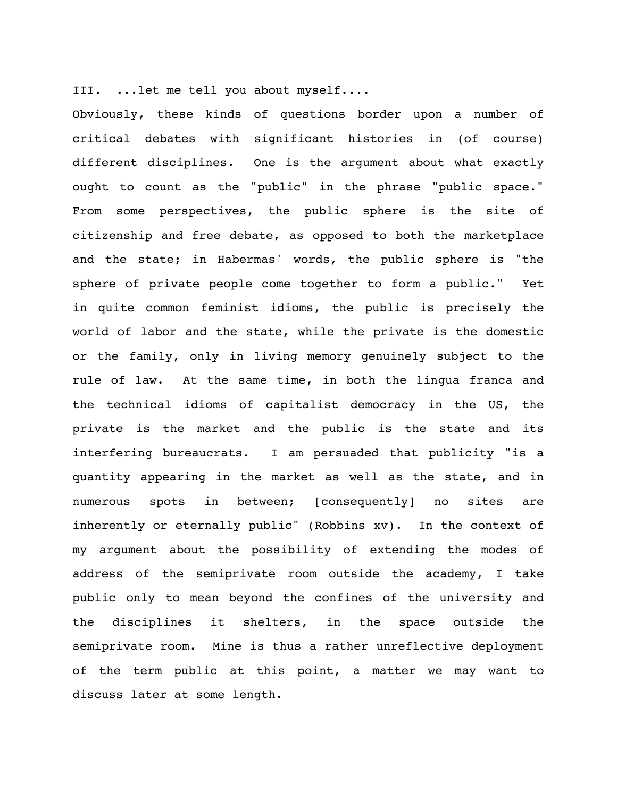III. ...let me tell you about myself....

Obviously, these kinds of questions border upon a number of critical debates with significant histories in (of course) different disciplines. One is the argument about what exactly ought to count as the "public" in the phrase "public space." From some perspectives, the public sphere is the site of citizenship and free debate, as opposed to both the marketplace and the state; in Habermas' words, the public sphere is "the sphere of private people come together to form a public." Yet in quite common feminist idioms, the public is precisely the world of labor and the state, while the private is the domestic or the family, only in living memory genuinely subject to the rule of law. At the same time, in both the lingua franca and the technical idioms of capitalist democracy in the US, the private is the market and the public is the state and its interfering bureaucrats. I am persuaded that publicity "is a quantity appearing in the market as well as the state, and in numerous spots in between; [consequently] no sites are inherently or eternally public" (Robbins xv). In the context of my argument about the possibility of extending the modes of address of the semiprivate room outside the academy, I take public only to mean beyond the confines of the university and the disciplines it shelters, in the space outside the semiprivate room. Mine is thus a rather unreflective deployment of the term public at this point, a matter we may want to discuss later at some length.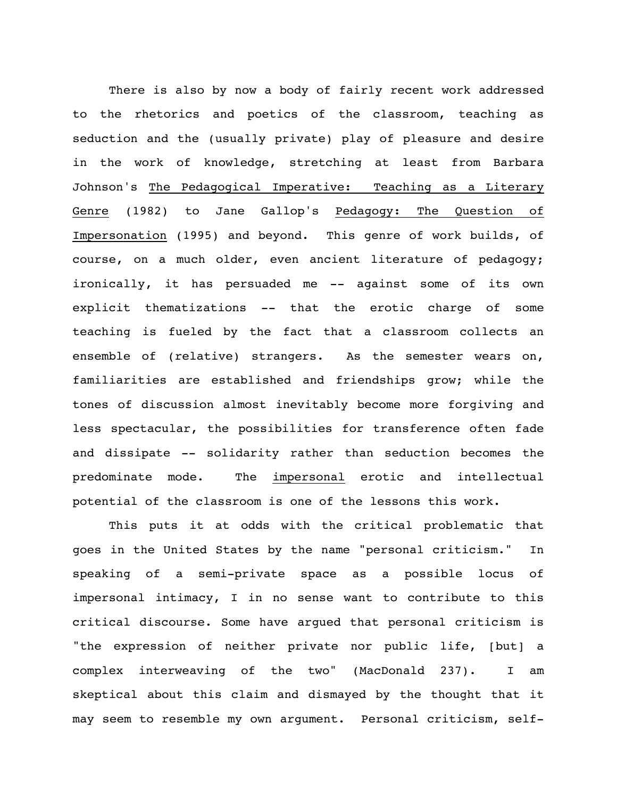There is also by now a body of fairly recent work addressed to the rhetorics and poetics of the classroom, teaching as seduction and the (usually private) play of pleasure and desire in the work of knowledge, stretching at least from Barbara Johnson's The Pedagogical Imperative: Teaching as a Literary Genre (1982) to Jane Gallop's Pedagogy: The Question of Impersonation (1995) and beyond. This genre of work builds, of course, on a much older, even ancient literature of pedagogy; ironically, it has persuaded me -- against some of its own explicit thematizations -- that the erotic charge of some teaching is fueled by the fact that a classroom collects an ensemble of (relative) strangers. As the semester wears on, familiarities are established and friendships grow; while the tones of discussion almost inevitably become more forgiving and less spectacular, the possibilities for transference often fade and dissipate -- solidarity rather than seduction becomes the predominate mode. The impersonal erotic and intellectual potential of the classroom is one of the lessons this work.

This puts it at odds with the critical problematic that goes in the United States by the name "personal criticism." In speaking of a semi-private space as a possible locus of impersonal intimacy, I in no sense want to contribute to this critical discourse. Some have argued that personal criticism is "the expression of neither private nor public life, [but] a complex interweaving of the two" (MacDonald 237). I am skeptical about this claim and dismayed by the thought that it may seem to resemble my own argument. Personal criticism, self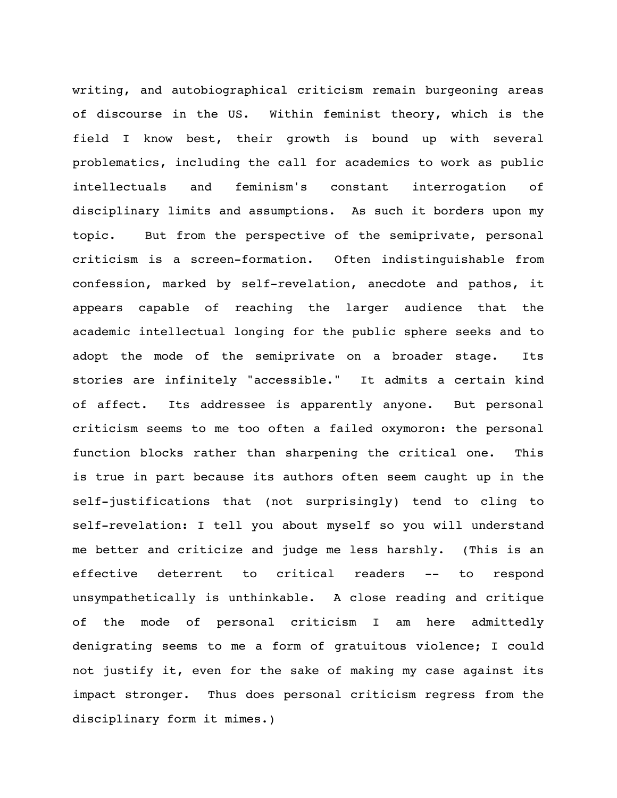writing, and autobiographical criticism remain burgeoning areas of discourse in the US. Within feminist theory, which is the field I know best, their growth is bound up with several problematics, including the call for academics to work as public intellectuals and feminism's constant interrogation of disciplinary limits and assumptions. As such it borders upon my topic. But from the perspective of the semiprivate, personal criticism is a screen-formation. Often indistinguishable from confession, marked by self-revelation, anecdote and pathos, it appears capable of reaching the larger audience that the academic intellectual longing for the public sphere seeks and to adopt the mode of the semiprivate on a broader stage. Its stories are infinitely "accessible." It admits a certain kind of affect. Its addressee is apparently anyone. But personal criticism seems to me too often a failed oxymoron: the personal function blocks rather than sharpening the critical one. This is true in part because its authors often seem caught up in the self-justifications that (not surprisingly) tend to cling to self-revelation: I tell you about myself so you will understand me better and criticize and judge me less harshly. (This is an effective deterrent to critical readers -- to respond unsympathetically is unthinkable. A close reading and critique of the mode of personal criticism I am here admittedly denigrating seems to me a form of gratuitous violence; I could not justify it, even for the sake of making my case against its impact stronger. Thus does personal criticism regress from the disciplinary form it mimes.)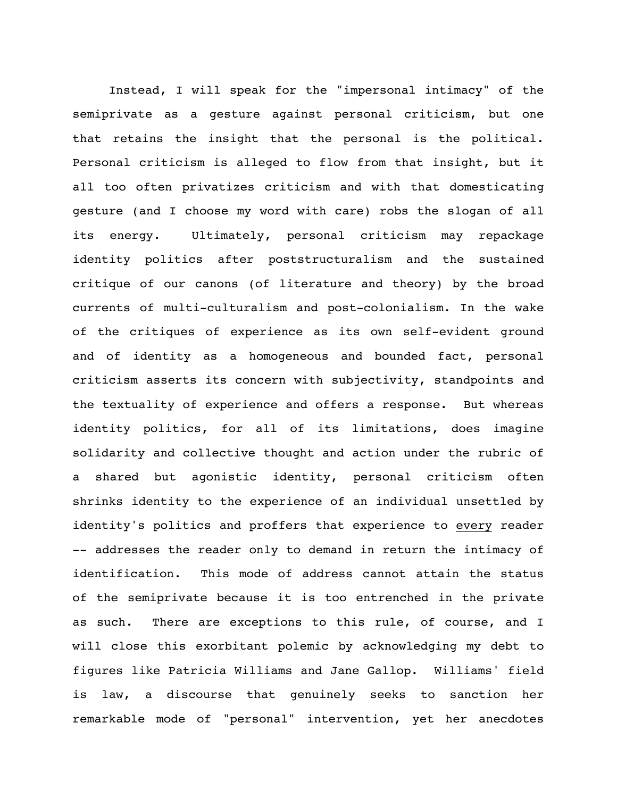Instead, I will speak for the "impersonal intimacy" of the semiprivate as a gesture against personal criticism, but one that retains the insight that the personal is the political. Personal criticism is alleged to flow from that insight, but it all too often privatizes criticism and with that domesticating gesture (and I choose my word with care) robs the slogan of all its energy. Ultimately, personal criticism may repackage identity politics after poststructuralism and the sustained critique of our canons (of literature and theory) by the broad currents of multi-culturalism and post-colonialism. In the wake of the critiques of experience as its own self-evident ground and of identity as a homogeneous and bounded fact, personal criticism asserts its concern with subjectivity, standpoints and the textuality of experience and offers a response. But whereas identity politics, for all of its limitations, does imagine solidarity and collective thought and action under the rubric of a shared but agonistic identity, personal criticism often shrinks identity to the experience of an individual unsettled by identity's politics and proffers that experience to every reader -- addresses the reader only to demand in return the intimacy of identification. This mode of address cannot attain the status of the semiprivate because it is too entrenched in the private as such. There are exceptions to this rule, of course, and I will close this exorbitant polemic by acknowledging my debt to figures like Patricia Williams and Jane Gallop. Williams' field is law, a discourse that genuinely seeks to sanction her remarkable mode of "personal" intervention, yet her anecdotes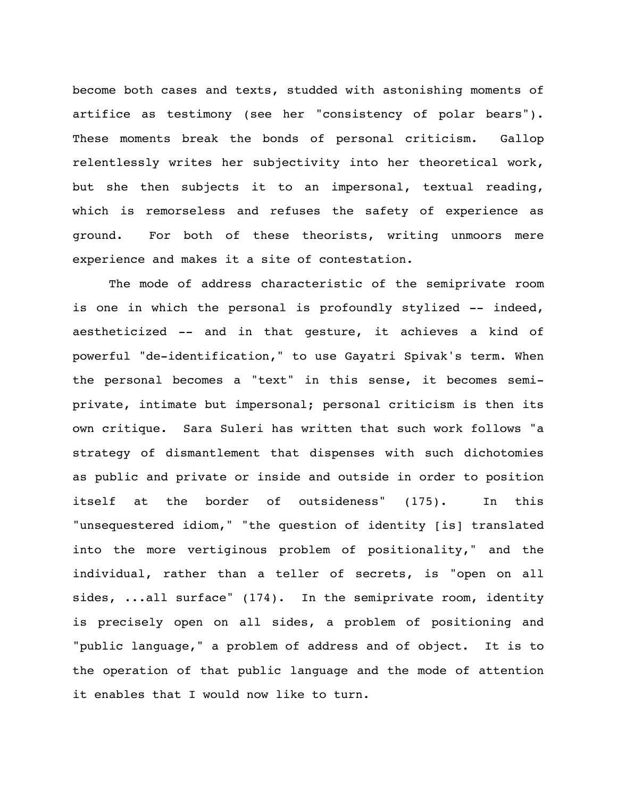become both cases and texts, studded with astonishing moments of artifice as testimony (see her "consistency of polar bears"). These moments break the bonds of personal criticism. Gallop relentlessly writes her subjectivity into her theoretical work, but she then subjects it to an impersonal, textual reading, which is remorseless and refuses the safety of experience as ground. For both of these theorists, writing unmoors mere experience and makes it a site of contestation.

The mode of address characteristic of the semiprivate room is one in which the personal is profoundly stylized -- indeed, aestheticized -- and in that gesture, it achieves a kind of powerful "de-identification," to use Gayatri Spivak's term. When the personal becomes a "text" in this sense, it becomes semiprivate, intimate but impersonal; personal criticism is then its own critique. Sara Suleri has written that such work follows "a strategy of dismantlement that dispenses with such dichotomies as public and private or inside and outside in order to position itself at the border of outsideness" (175). In this "unsequestered idiom," "the question of identity [is] translated into the more vertiginous problem of positionality," and the individual, rather than a teller of secrets, is "open on all sides, ...all surface" (174). In the semiprivate room, identity is precisely open on all sides, a problem of positioning and "public language," a problem of address and of object. It is to the operation of that public language and the mode of attention it enables that I would now like to turn.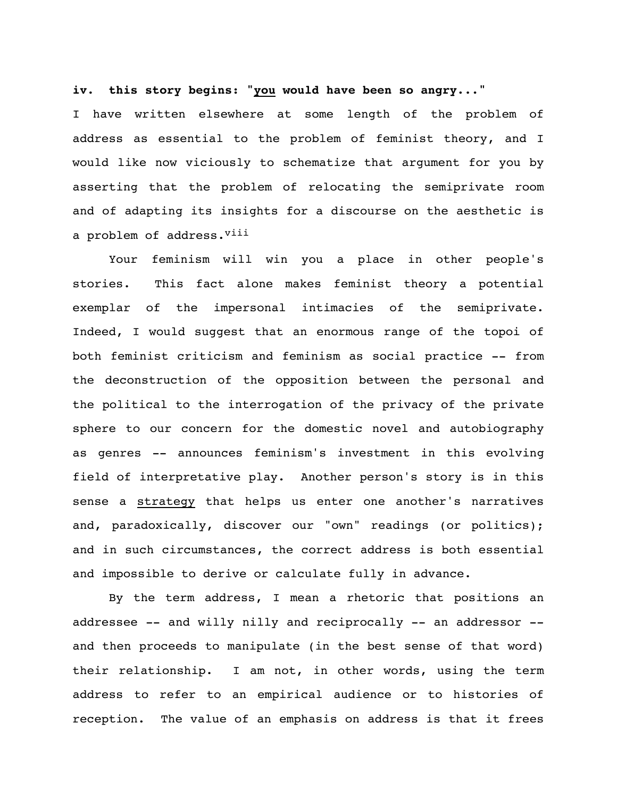## **iv. this story begins: "you would have been so angry..."**

I have written elsewhere at some length of the problem of address as essential to the problem of feminist theory, and I would like now viciously to schematize that argument for you by asserting that the problem of relocating the semiprivate room and of adapting its insights for a discourse on the aesthetic is a problem of address. Viii

Your feminism will win you a place in other people's stories. This fact alone makes feminist theory a potential exemplar of the impersonal intimacies of the semiprivate. Indeed, I would suggest that an enormous range of the topoi of both feminist criticism and feminism as social practice -- from the deconstruction of the opposition between the personal and the political to the interrogation of the privacy of the private sphere to our concern for the domestic novel and autobiography as genres -- announces feminism's investment in this evolving field of interpretative play. Another person's story is in this sense a strategy that helps us enter one another's narratives and, paradoxically, discover our "own" readings (or politics); and in such circumstances, the correct address is both essential and impossible to derive or calculate fully in advance.

By the term address, I mean a rhetoric that positions an addressee -- and willy nilly and reciprocally -- an addressor - and then proceeds to manipulate (in the best sense of that word) their relationship. I am not, in other words, using the term address to refer to an empirical audience or to histories of reception. The value of an emphasis on address is that it frees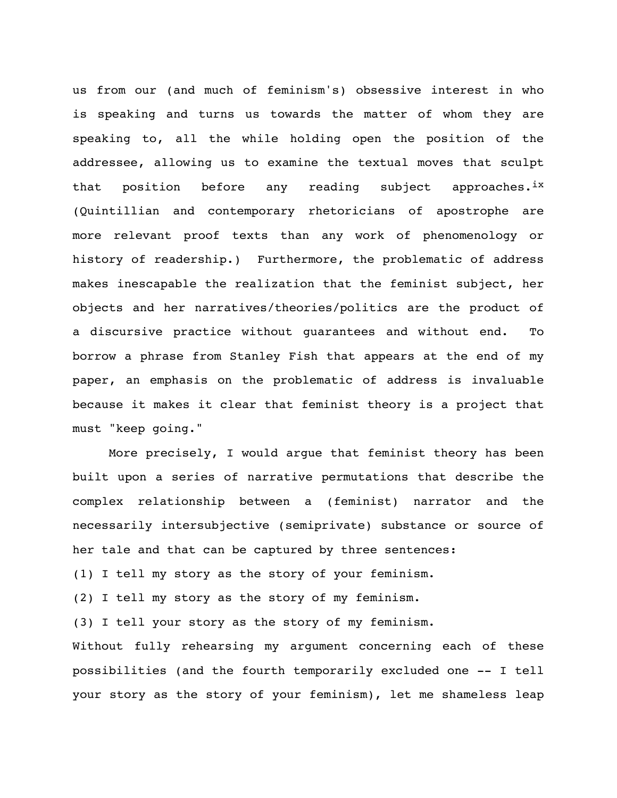us from our (and much of feminism's) obsessive interest in who is speaking and turns us towards the matter of whom they are speaking to, all the while holding open the position of the addressee, allowing us to examine the textual moves that sculpt that position before any reading subject approaches.<sup>ix</sup> (Quintillian and contemporary rhetoricians of apostrophe are more relevant proof texts than any work of phenomenology or history of readership.) Furthermore, the problematic of address makes inescapable the realization that the feminist subject, her objects and her narratives/theories/politics are the product of a discursive practice without guarantees and without end. To borrow a phrase from Stanley Fish that appears at the end of my paper, an emphasis on the problematic of address is invaluable because it makes it clear that feminist theory is a project that must "keep going."

More precisely, I would argue that feminist theory has been built upon a series of narrative permutations that describe the complex relationship between a (feminist) narrator and the necessarily intersubjective (semiprivate) substance or source of her tale and that can be captured by three sentences: (1) I tell my story as the story of your feminism.

(2) I tell my story as the story of my feminism.

(3) I tell your story as the story of my feminism.

Without fully rehearsing my argument concerning each of these possibilities (and the fourth temporarily excluded one -- I tell your story as the story of your feminism), let me shameless leap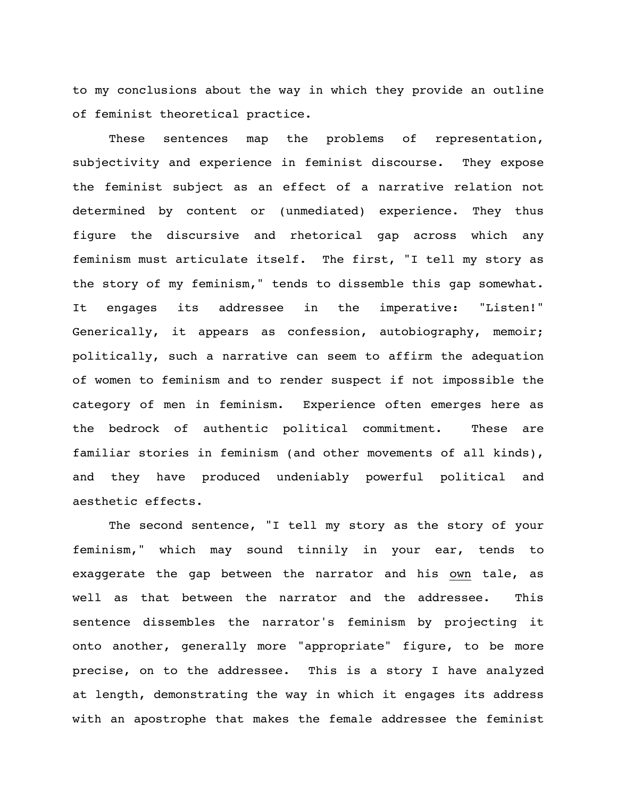to my conclusions about the way in which they provide an outline of feminist theoretical practice.

These sentences map the problems of representation, subjectivity and experience in feminist discourse. They expose the feminist subject as an effect of a narrative relation not determined by content or (unmediated) experience. They thus figure the discursive and rhetorical gap across which any feminism must articulate itself. The first, "I tell my story as the story of my feminism," tends to dissemble this gap somewhat. It engages its addressee in the imperative: "Listen!" Generically, it appears as confession, autobiography, memoir; politically, such a narrative can seem to affirm the adequation of women to feminism and to render suspect if not impossible the category of men in feminism. Experience often emerges here as the bedrock of authentic political commitment. These are familiar stories in feminism (and other movements of all kinds), and they have produced undeniably powerful political and aesthetic effects.

The second sentence, "I tell my story as the story of your feminism," which may sound tinnily in your ear, tends to exaggerate the gap between the narrator and his own tale, as well as that between the narrator and the addressee. This sentence dissembles the narrator's feminism by projecting it onto another, generally more "appropriate" figure, to be more precise, on to the addressee. This is a story I have analyzed at length, demonstrating the way in which it engages its address with an apostrophe that makes the female addressee the feminist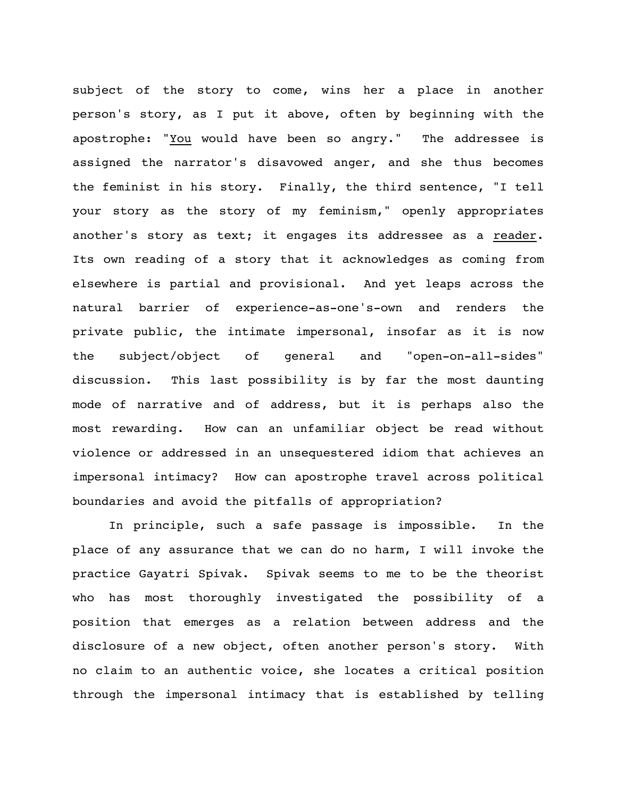subject of the story to come, wins her a place in another person's story, as I put it above, often by beginning with the apostrophe: "You would have been so angry." The addressee is assigned the narrator's disavowed anger, and she thus becomes the feminist in his story. Finally, the third sentence, "I tell your story as the story of my feminism," openly appropriates another's story as text; it engages its addressee as a reader. Its own reading of a story that it acknowledges as coming from elsewhere is partial and provisional. And yet leaps across the natural barrier of experience-as-one's-own and renders the private public, the intimate impersonal, insofar as it is now the subject/object of general and "open-on-all-sides" discussion. This last possibility is by far the most daunting mode of narrative and of address, but it is perhaps also the most rewarding. How can an unfamiliar object be read without violence or addressed in an unsequestered idiom that achieves an impersonal intimacy? How can apostrophe travel across political boundaries and avoid the pitfalls of appropriation?

In principle, such a safe passage is impossible. In the place of any assurance that we can do no harm, I will invoke the practice Gayatri Spivak. Spivak seems to me to be the theorist who has most thoroughly investigated the possibility of a position that emerges as a relation between address and the disclosure of a new object, often another person's story. With no claim to an authentic voice, she locates a critical position through the impersonal intimacy that is established by telling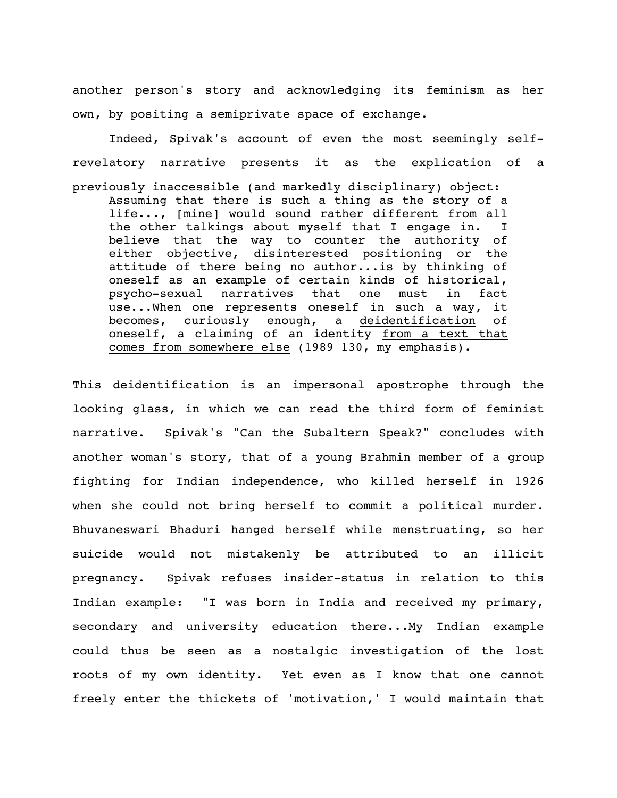another person's story and acknowledging its feminism as her own, by positing a semiprivate space of exchange.

Indeed, Spivak's account of even the most seemingly selfrevelatory narrative presents it as the explication of a previously inaccessible (and markedly disciplinary) object: Assuming that there is such a thing as the story of a life..., [mine] would sound rather different from all the other talkings about myself that I engage in. I believe that the way to counter the authority of either objective, disinterested positioning or the attitude of there being no author...is by thinking of oneself as an example of certain kinds of historical, psycho-sexual narratives that one must in fact use...When one represents oneself in such a way, it becomes, curiously enough, a deidentification of oneself, a claiming of an identity from a text that comes from somewhere else (1989 130, my emphasis).

This deidentification is an impersonal apostrophe through the looking glass, in which we can read the third form of feminist narrative. Spivak's "Can the Subaltern Speak?" concludes with another woman's story, that of a young Brahmin member of a group fighting for Indian independence, who killed herself in 1926 when she could not bring herself to commit a political murder. Bhuvaneswari Bhaduri hanged herself while menstruating, so her suicide would not mistakenly be attributed to an illicit pregnancy. Spivak refuses insider-status in relation to this Indian example: "I was born in India and received my primary, secondary and university education there...My Indian example could thus be seen as a nostalgic investigation of the lost roots of my own identity. Yet even as I know that one cannot freely enter the thickets of 'motivation,' I would maintain that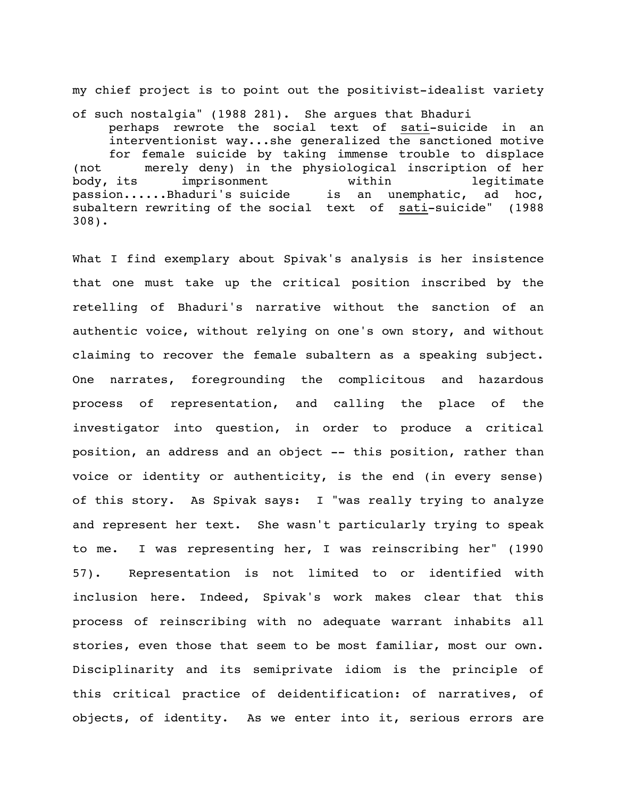my chief project is to point out the positivist-idealist variety

of such nostalgia" (1988 281). She argues that Bhaduri perhaps rewrote the social text of sati-suicide in an interventionist way...she generalized the sanctioned motive for female suicide by taking immense trouble to displace (not merely deny) in the physiological inscription of her body, its imprisonment within legitimate passion......Bhaduri's suicide is an unemphatic, ad hoc, subaltern rewriting of the social text of sati-suicide" (1988 308).

What I find exemplary about Spivak's analysis is her insistence that one must take up the critical position inscribed by the retelling of Bhaduri's narrative without the sanction of an authentic voice, without relying on one's own story, and without claiming to recover the female subaltern as a speaking subject. One narrates, foregrounding the complicitous and hazardous process of representation, and calling the place of the investigator into question, in order to produce a critical position, an address and an object -- this position, rather than voice or identity or authenticity, is the end (in every sense) of this story. As Spivak says: I "was really trying to analyze and represent her text. She wasn't particularly trying to speak to me. I was representing her, I was reinscribing her" (1990 57). Representation is not limited to or identified with inclusion here. Indeed, Spivak's work makes clear that this process of reinscribing with no adequate warrant inhabits all stories, even those that seem to be most familiar, most our own. Disciplinarity and its semiprivate idiom is the principle of this critical practice of deidentification: of narratives, of objects, of identity. As we enter into it, serious errors are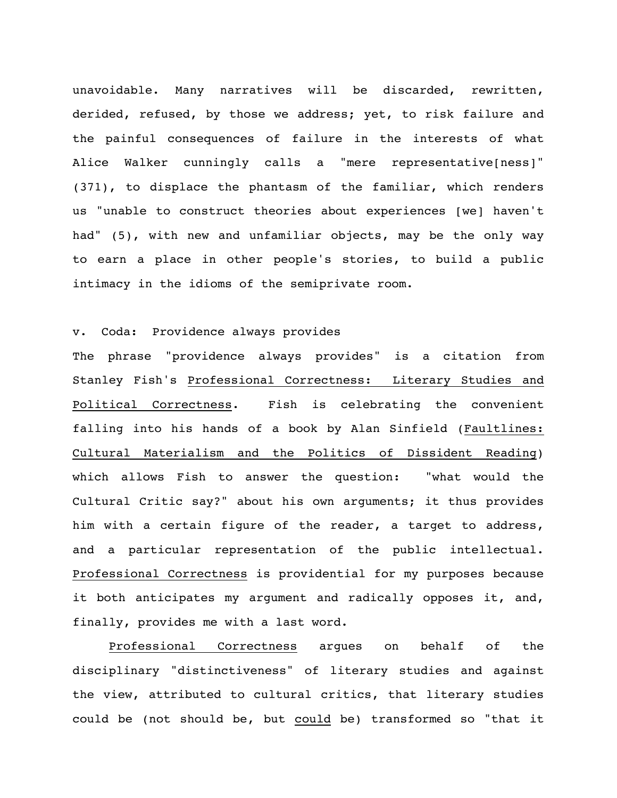unavoidable. Many narratives will be discarded, rewritten, derided, refused, by those we address; yet, to risk failure and the painful consequences of failure in the interests of what Alice Walker cunningly calls a "mere representative[ness]" (371), to displace the phantasm of the familiar, which renders us "unable to construct theories about experiences [we] haven't had" (5), with new and unfamiliar objects, may be the only way to earn a place in other people's stories, to build a public intimacy in the idioms of the semiprivate room.

## v. Coda: Providence always provides

The phrase "providence always provides" is a citation from Stanley Fish's Professional Correctness: Literary Studies and Political Correctness. Fish is celebrating the convenient falling into his hands of a book by Alan Sinfield (Faultlines: Cultural Materialism and the Politics of Dissident Reading) which allows Fish to answer the question: "what would the Cultural Critic say?" about his own arguments; it thus provides him with a certain figure of the reader, a target to address, and a particular representation of the public intellectual. Professional Correctness is providential for my purposes because it both anticipates my argument and radically opposes it, and, finally, provides me with a last word.

Professional Correctness argues on behalf of the disciplinary "distinctiveness" of literary studies and against the view, attributed to cultural critics, that literary studies could be (not should be, but could be) transformed so "that it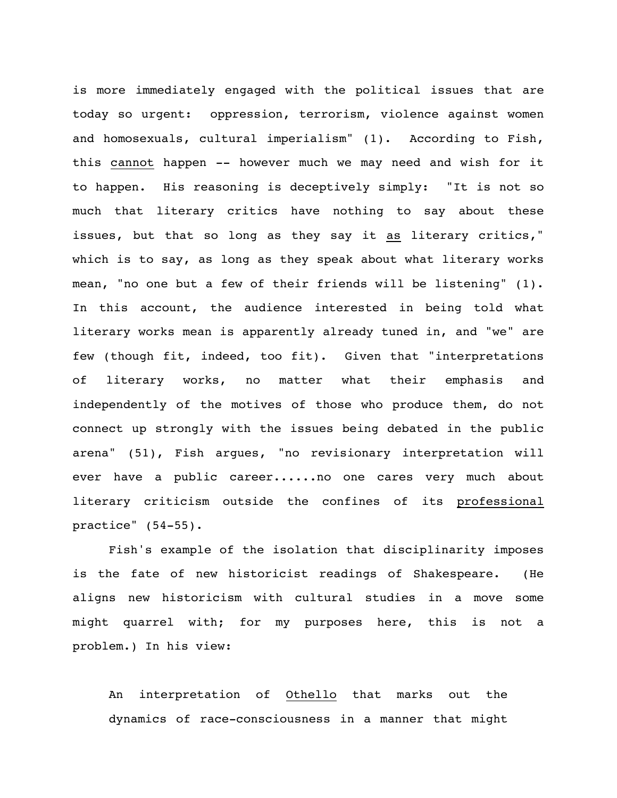is more immediately engaged with the political issues that are today so urgent: oppression, terrorism, violence against women and homosexuals, cultural imperialism" (1). According to Fish, this cannot happen -- however much we may need and wish for it to happen. His reasoning is deceptively simply: "It is not so much that literary critics have nothing to say about these issues, but that so long as they say it as literary critics," which is to say, as long as they speak about what literary works mean, "no one but a few of their friends will be listening" (1). In this account, the audience interested in being told what literary works mean is apparently already tuned in, and "we" are few (though fit, indeed, too fit). Given that "interpretations of literary works, no matter what their emphasis and independently of the motives of those who produce them, do not connect up strongly with the issues being debated in the public arena" (51), Fish argues, "no revisionary interpretation will ever have a public career......no one cares very much about literary criticism outside the confines of its professional practice" (54-55).

Fish's example of the isolation that disciplinarity imposes is the fate of new historicist readings of Shakespeare. (He aligns new historicism with cultural studies in a move some might quarrel with; for my purposes here, this is not a problem.) In his view:

An interpretation of Othello that marks out the dynamics of race-consciousness in a manner that might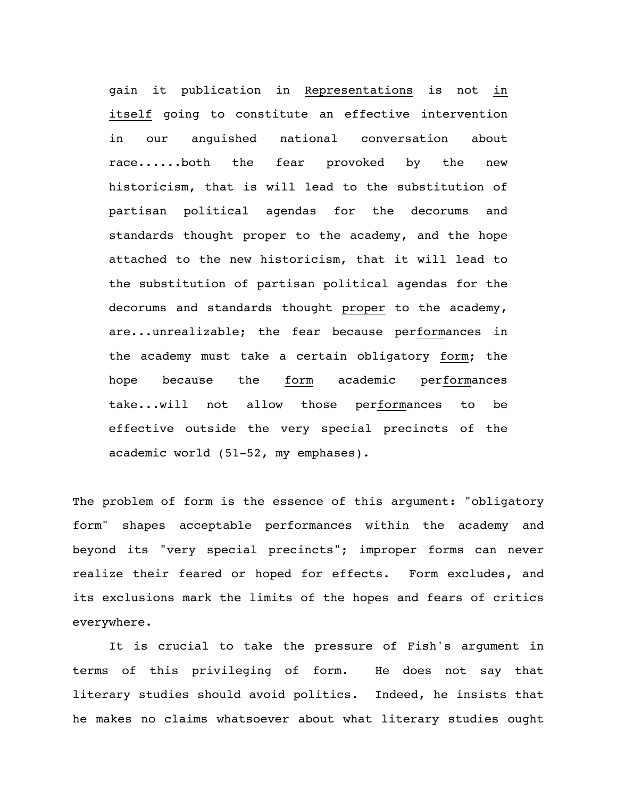gain it publication in Representations is not in itself going to constitute an effective intervention in our anguished national conversation about race......both the fear provoked by the new historicism, that is will lead to the substitution of partisan political agendas for the decorums and standards thought proper to the academy, and the hope attached to the new historicism, that it will lead to the substitution of partisan political agendas for the decorums and standards thought proper to the academy, are...unrealizable; the fear because performances in the academy must take a certain obligatory form; the hope because the form academic performances take...will not allow those performances to be effective outside the very special precincts of the academic world (51-52, my emphases).

The problem of form is the essence of this argument: "obligatory form" shapes acceptable performances within the academy and beyond its "very special precincts"; improper forms can never realize their feared or hoped for effects. Form excludes, and its exclusions mark the limits of the hopes and fears of critics everywhere.

It is crucial to take the pressure of Fish's argument in terms of this privileging of form. He does not say that literary studies should avoid politics. Indeed, he insists that he makes no claims whatsoever about what literary studies ought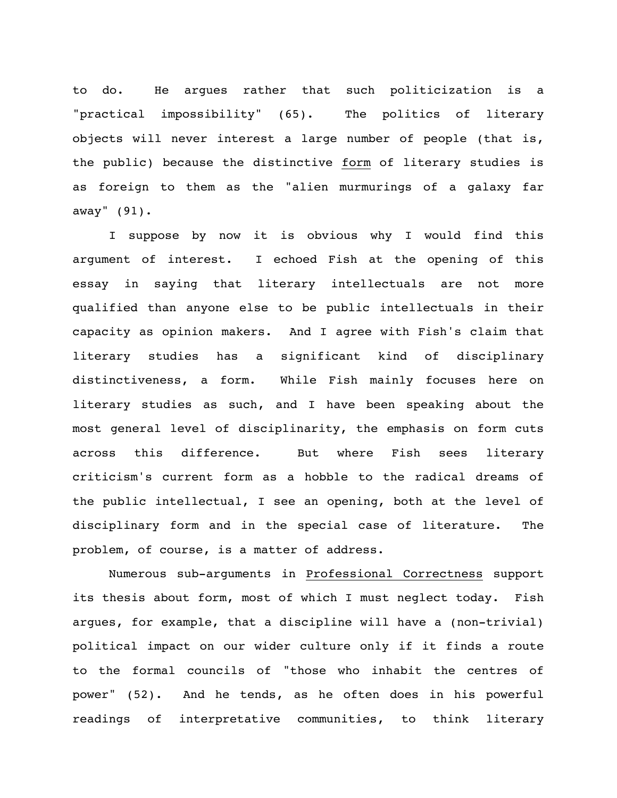to do. He argues rather that such politicization is a "practical impossibility" (65). The politics of literary objects will never interest a large number of people (that is, the public) because the distinctive form of literary studies is as foreign to them as the "alien murmurings of a galaxy far away" (91).

I suppose by now it is obvious why I would find this argument of interest. I echoed Fish at the opening of this essay in saying that literary intellectuals are not more qualified than anyone else to be public intellectuals in their capacity as opinion makers. And I agree with Fish's claim that literary studies has a significant kind of disciplinary distinctiveness, a form. While Fish mainly focuses here on literary studies as such, and I have been speaking about the most general level of disciplinarity, the emphasis on form cuts across this difference. But where Fish sees literary criticism's current form as a hobble to the radical dreams of the public intellectual, I see an opening, both at the level of disciplinary form and in the special case of literature. The problem, of course, is a matter of address.

Numerous sub-arguments in Professional Correctness support its thesis about form, most of which I must neglect today. Fish argues, for example, that a discipline will have a (non-trivial) political impact on our wider culture only if it finds a route to the formal councils of "those who inhabit the centres of power" (52). And he tends, as he often does in his powerful readings of interpretative communities, to think literary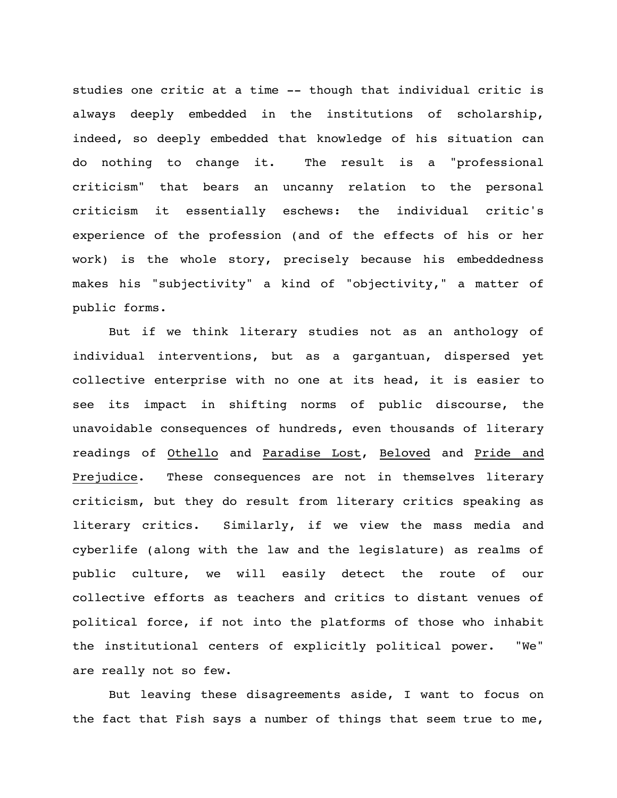studies one critic at a time -- though that individual critic is always deeply embedded in the institutions of scholarship, indeed, so deeply embedded that knowledge of his situation can do nothing to change it. The result is a "professional criticism" that bears an uncanny relation to the personal criticism it essentially eschews: the individual critic's experience of the profession (and of the effects of his or her work) is the whole story, precisely because his embeddedness makes his "subjectivity" a kind of "objectivity," a matter of public forms.

But if we think literary studies not as an anthology of individual interventions, but as a gargantuan, dispersed yet collective enterprise with no one at its head, it is easier to see its impact in shifting norms of public discourse, the unavoidable consequences of hundreds, even thousands of literary readings of Othello and Paradise Lost, Beloved and Pride and Prejudice. These consequences are not in themselves literary criticism, but they do result from literary critics speaking as literary critics. Similarly, if we view the mass media and cyberlife (along with the law and the legislature) as realms of public culture, we will easily detect the route of our collective efforts as teachers and critics to distant venues of political force, if not into the platforms of those who inhabit the institutional centers of explicitly political power. "We" are really not so few.

But leaving these disagreements aside, I want to focus on the fact that Fish says a number of things that seem true to me,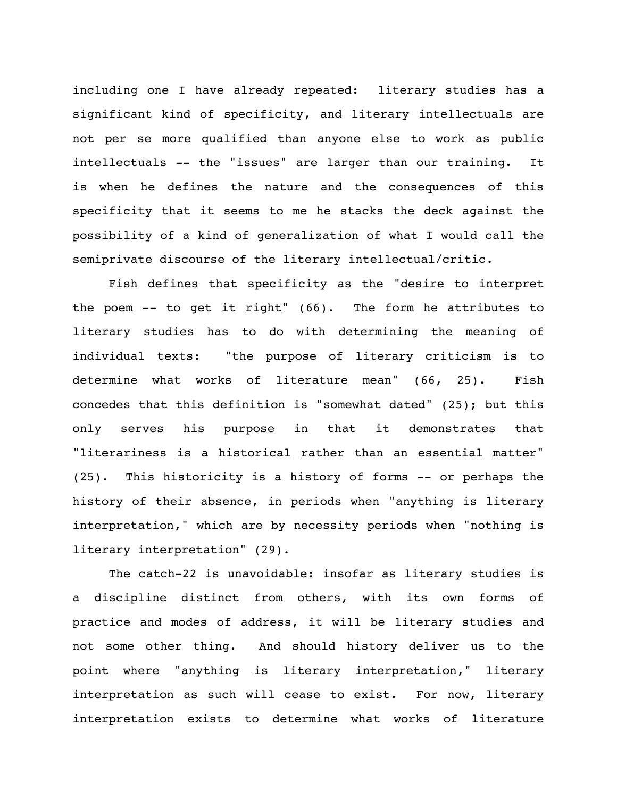including one I have already repeated: literary studies has a significant kind of specificity, and literary intellectuals are not per se more qualified than anyone else to work as public intellectuals -- the "issues" are larger than our training. It is when he defines the nature and the consequences of this specificity that it seems to me he stacks the deck against the possibility of a kind of generalization of what I would call the semiprivate discourse of the literary intellectual/critic.

Fish defines that specificity as the "desire to interpret the poem -- to get it right" (66). The form he attributes to literary studies has to do with determining the meaning of individual texts: "the purpose of literary criticism is to determine what works of literature mean" (66, 25). Fish concedes that this definition is "somewhat dated" (25); but this only serves his purpose in that it demonstrates that "literariness is a historical rather than an essential matter" (25). This historicity is a history of forms -- or perhaps the history of their absence, in periods when "anything is literary interpretation," which are by necessity periods when "nothing is literary interpretation" (29).

The catch-22 is unavoidable: insofar as literary studies is a discipline distinct from others, with its own forms of practice and modes of address, it will be literary studies and not some other thing. And should history deliver us to the point where "anything is literary interpretation," literary interpretation as such will cease to exist. For now, literary interpretation exists to determine what works of literature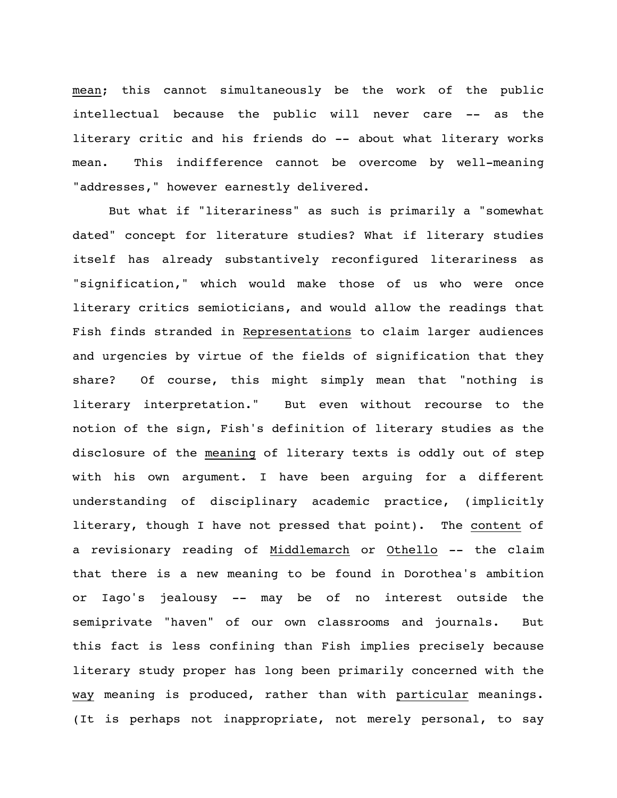mean; this cannot simultaneously be the work of the public intellectual because the public will never care -- as the literary critic and his friends do -- about what literary works mean. This indifference cannot be overcome by well-meaning "addresses," however earnestly delivered.

But what if "literariness" as such is primarily a "somewhat dated" concept for literature studies? What if literary studies itself has already substantively reconfigured literariness as "signification," which would make those of us who were once literary critics semioticians, and would allow the readings that Fish finds stranded in Representations to claim larger audiences and urgencies by virtue of the fields of signification that they share? Of course, this might simply mean that "nothing is literary interpretation." But even without recourse to the notion of the sign, Fish's definition of literary studies as the disclosure of the meaning of literary texts is oddly out of step with his own argument. I have been arguing for a different understanding of disciplinary academic practice, (implicitly literary, though I have not pressed that point). The content of a revisionary reading of Middlemarch or Othello -- the claim that there is a new meaning to be found in Dorothea's ambition or Iago's jealousy -- may be of no interest outside the semiprivate "haven" of our own classrooms and journals. But this fact is less confining than Fish implies precisely because literary study proper has long been primarily concerned with the way meaning is produced, rather than with particular meanings. (It is perhaps not inappropriate, not merely personal, to say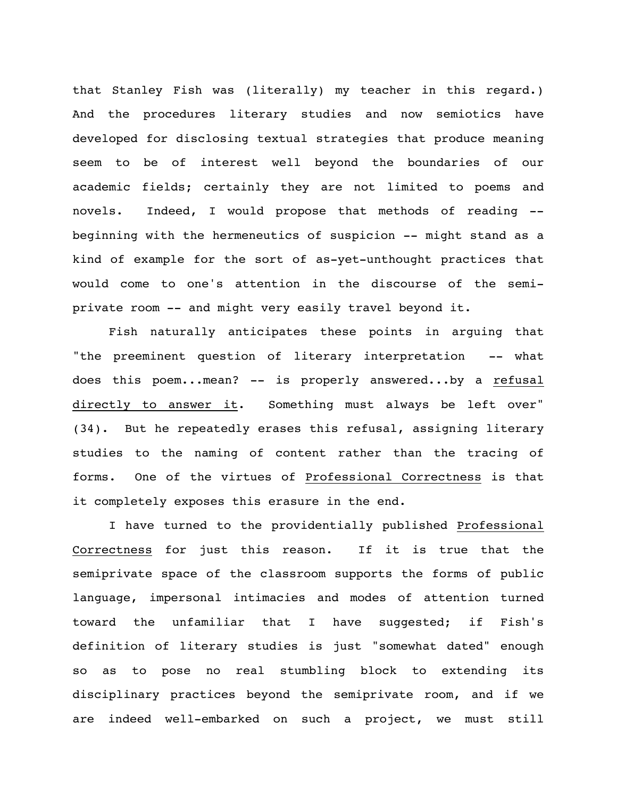that Stanley Fish was (literally) my teacher in this regard.) And the procedures literary studies and now semiotics have developed for disclosing textual strategies that produce meaning seem to be of interest well beyond the boundaries of our academic fields; certainly they are not limited to poems and novels. Indeed, I would propose that methods of reading - beginning with the hermeneutics of suspicion -- might stand as a kind of example for the sort of as-yet-unthought practices that would come to one's attention in the discourse of the semiprivate room -- and might very easily travel beyond it.

Fish naturally anticipates these points in arguing that "the preeminent question of literary interpretation -- what does this poem...mean? -- is properly answered...by a refusal directly to answer it. Something must always be left over" (34). But he repeatedly erases this refusal, assigning literary studies to the naming of content rather than the tracing of forms. One of the virtues of Professional Correctness is that it completely exposes this erasure in the end.

I have turned to the providentially published Professional Correctness for just this reason. If it is true that the semiprivate space of the classroom supports the forms of public language, impersonal intimacies and modes of attention turned toward the unfamiliar that I have suggested; if Fish's definition of literary studies is just "somewhat dated" enough so as to pose no real stumbling block to extending its disciplinary practices beyond the semiprivate room, and if we are indeed well-embarked on such a project, we must still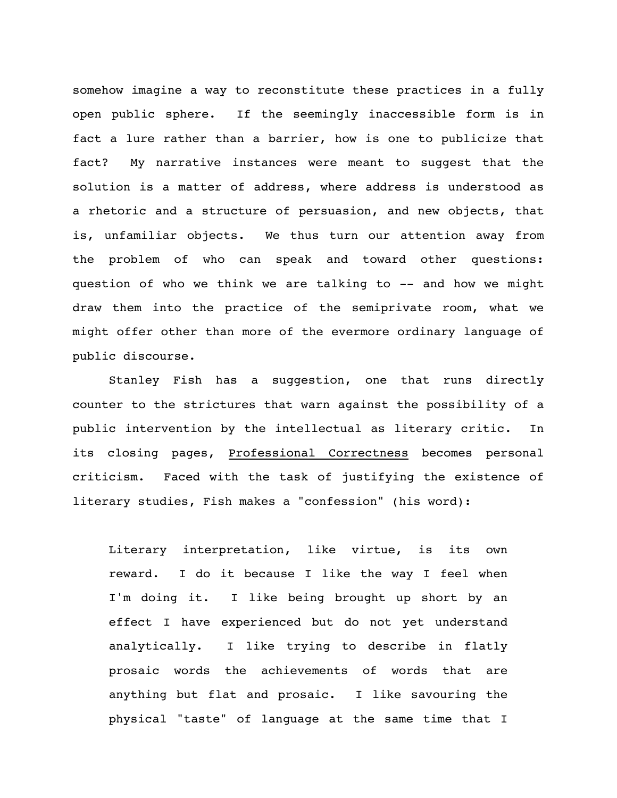somehow imagine a way to reconstitute these practices in a fully open public sphere. If the seemingly inaccessible form is in fact a lure rather than a barrier, how is one to publicize that fact? My narrative instances were meant to suggest that the solution is a matter of address, where address is understood as a rhetoric and a structure of persuasion, and new objects, that is, unfamiliar objects. We thus turn our attention away from the problem of who can speak and toward other questions: question of who we think we are talking to -- and how we might draw them into the practice of the semiprivate room, what we might offer other than more of the evermore ordinary language of public discourse.

Stanley Fish has a suggestion, one that runs directly counter to the strictures that warn against the possibility of a public intervention by the intellectual as literary critic. In its closing pages, Professional Correctness becomes personal criticism. Faced with the task of justifying the existence of literary studies, Fish makes a "confession" (his word):

Literary interpretation, like virtue, is its own reward. I do it because I like the way I feel when I'm doing it. I like being brought up short by an effect I have experienced but do not yet understand analytically. I like trying to describe in flatly prosaic words the achievements of words that are anything but flat and prosaic. I like savouring the physical "taste" of language at the same time that I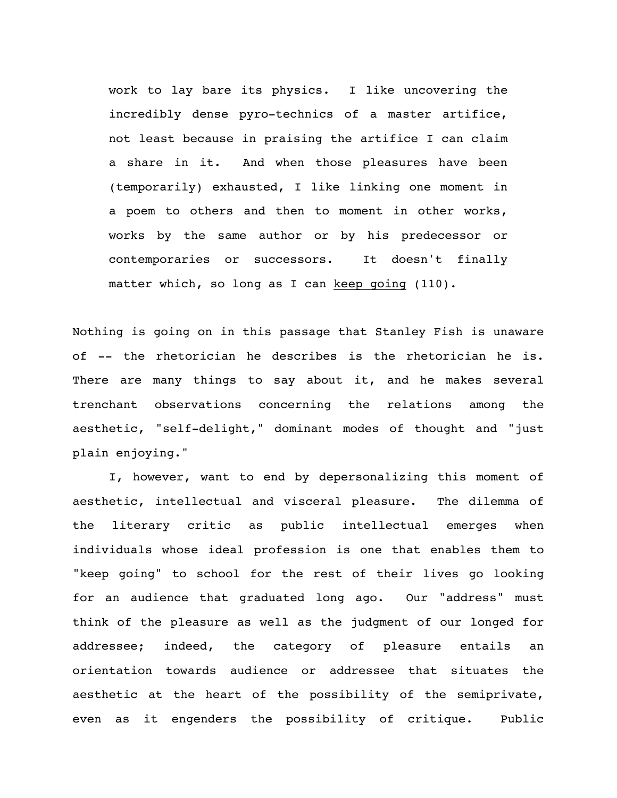work to lay bare its physics. I like uncovering the incredibly dense pyro-technics of a master artifice, not least because in praising the artifice I can claim a share in it. And when those pleasures have been (temporarily) exhausted, I like linking one moment in a poem to others and then to moment in other works, works by the same author or by his predecessor or contemporaries or successors. It doesn't finally matter which, so long as I can keep going (110).

Nothing is going on in this passage that Stanley Fish is unaware of -- the rhetorician he describes is the rhetorician he is. There are many things to say about it, and he makes several trenchant observations concerning the relations among the aesthetic, "self-delight," dominant modes of thought and "just plain enjoying."

I, however, want to end by depersonalizing this moment of aesthetic, intellectual and visceral pleasure. The dilemma of the literary critic as public intellectual emerges when individuals whose ideal profession is one that enables them to "keep going" to school for the rest of their lives go looking for an audience that graduated long ago. Our "address" must think of the pleasure as well as the judgment of our longed for addressee; indeed, the category of pleasure entails an orientation towards audience or addressee that situates the aesthetic at the heart of the possibility of the semiprivate, even as it engenders the possibility of critique. Public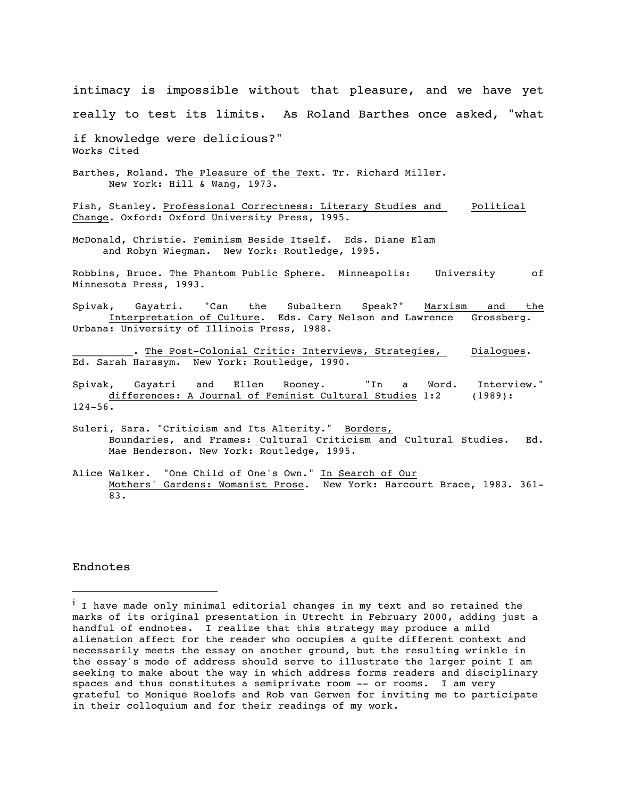intimacy is impossible without that pleasure, and we have yet really to test its limits. As Roland Barthes once asked, "what if knowledge were delicious?" Works Cited Barthes, Roland. The Pleasure of the Text. Tr. Richard Miller. New York: Hill & Wang, 1973. Fish, Stanley. Professional Correctness: Literary Studies and Political Change. Oxford: Oxford University Press, 1995. McDonald, Christie. Feminism Beside Itself. Eds. Diane Elam and Robyn Wiegman. New York: Routledge, 1995. Robbins, Bruce. The Phantom Public Sphere. Minneapolis: University of Minnesota Press, 1993. Spivak, Gayatri. "Can the Subaltern Speak?" Marxism and the Interpretation of Culture. Eds. Cary Nelson and Lawrence Grossberg. Urbana: University of Illinois Press, 1988. . The Post-Colonial Critic: Interviews, Strategies, Dialogues. Ed. Sarah Harasym. New York: Routledge, 1990. Spivak, Gayatri and Ellen Rooney. "In a Word. Interview." differences: A Journal of Feminist Cultural Studies 1:2 (1989): 124-56. Suleri, Sara. "Criticism and Its Alterity." Borders, Boundaries, and Frames: Cultural Criticism and Cultural Studies. Ed. Mae Henderson. New York: Routledge, 1995.

Alice Walker. "One Child of One's Own." <u>In Search of Our</u> Mothers' Gardens: Womanist Prose. New York: Harcourt Brace, 1983. 361- 83.

Endnotes

 $\overline{a}$ 

 $^{\rm i}$  I have made only minimal editorial changes in my text and so retained the marks of its original presentation in Utrecht in February 2000, adding just a handful of endnotes. I realize that this strategy may produce a mild alienation affect for the reader who occupies a quite different context and necessarily meets the essay on another ground, but the resulting wrinkle in the essay's mode of address should serve to illustrate the larger point I am seeking to make about the way in which address forms readers and disciplinary spaces and thus constitutes a semiprivate room -- or rooms. I am very grateful to Monique Roelofs and Rob van Gerwen for inviting me to participate in their colloquium and for their readings of my work.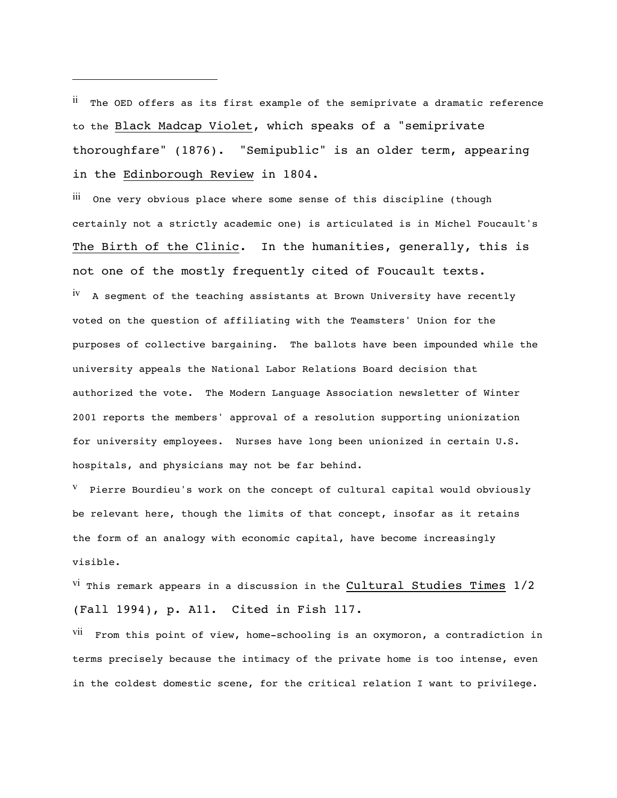$<sup>II</sup>$  The OED offers as its first example of the semiprivate a dramatic reference</sup> to the Black Madcap Violet, which speaks of a "semiprivate thoroughfare" (1876). "Semipublic" is an older term, appearing in the Edinborough Review in 1804.

 $\overline{a}$ 

iii One very obvious place where some sense of this discipline (though certainly not a strictly academic one) is articulated is in Michel Foucault's The Birth of the Clinic. In the humanities, generally, this is not one of the mostly frequently cited of Foucault texts. <sup>IV</sup> A segment of the teaching assistants at Brown University have recently voted on the question of affiliating with the Teamsters' Union for the purposes of collective bargaining. The ballots have been impounded while the university appeals the National Labor Relations Board decision that authorized the vote. The Modern Language Association newsletter of Winter 2001 reports the members' approval of a resolution supporting unionization for university employees. Nurses have long been unionized in certain U.S. hospitals, and physicians may not be far behind.

 $V$  Pierre Bourdieu's work on the concept of cultural capital would obviously be relevant here, though the limits of that concept, insofar as it retains the form of an analogy with economic capital, have become increasingly visible.

<sup>VI</sup> This remark appears in a discussion in the Cultural Studies Times  $1/2$ (Fall 1994), p. A11. Cited in Fish 117.

VII From this point of view, home-schooling is an oxymoron, a contradiction in terms precisely because the intimacy of the private home is too intense, even in the coldest domestic scene, for the critical relation I want to privilege.